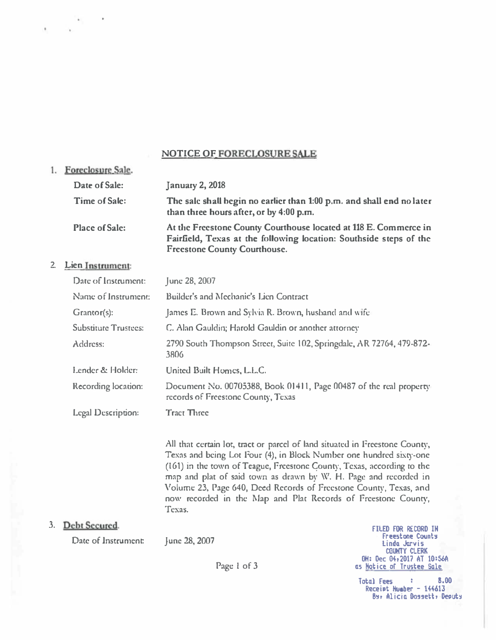## NOTICE OF FORECLOSURE SALE

| 1. Foreclosure Sale.  |                                                                                                                                                                               |
|-----------------------|-------------------------------------------------------------------------------------------------------------------------------------------------------------------------------|
| Date of Sale:         | <b>January 2, 2018</b>                                                                                                                                                        |
| <b>Time of Sale:</b>  | The sale shall begin no earlier than 1:00 p.m. and shall end no later<br>than three hours after, or by 4:00 p.m.                                                              |
| <b>Place of Sale:</b> | At the Freestone County Courthouse located at 118 E. Commerce in<br>Fairfield, Texas at the following location: Southside steps of the<br><b>Freestone County Courthouse.</b> |

## 2. Lien Instrument:

| Date of Instrument:         | June 28, 2007                                                                                            |
|-----------------------------|----------------------------------------------------------------------------------------------------------|
| Name of Instrument:         | Builder's and Mechanic's Lien Contract                                                                   |
| Grantor(s):                 | James E. Brown and Sylvia R. Brown, husband and wife                                                     |
| <b>Substitute Trustees:</b> | C. Alan Gauldin; Harold Gauldin or another attorney                                                      |
| Address:                    | 2790 South Thompson Street, Suite 102, Springdale, AR 72764, 479-872-<br>3806                            |
| Lender & Holder:            | United Built Homes, L.L.C.                                                                               |
| Recording location:         | Document No. 00705388, Book 01411, Page 00487 of the real property<br>records of Freestone County, Texas |
| <b>Legal Description:</b>   | <b>Tract Three</b>                                                                                       |

All that certain lot, tract or parcel of land situated in Freestone County, Texas and being Lot Four (4), in Block Number one hundred sixty-one  $(161)$  in the town of Teague, Freestone County, Texas, according to the map and plat of said town as drawn by W. H. Page and recorded in Volume 23, Page 640, Deed Records of Freestone County, Texas, and now recorded in the �lap and Plat Records of Freestone County, Texas.

## 3. Debt Secured.

Date of Instrument

Junc 28, 2007

Page l of 3

FILED FOR RECORD IH Freestone Counts Linda Jarvis COUNTY CLERK OH: Dec O�r2017 AT 10:56A as Hotice of Trustee Sale

Total Fees : 8.00 Receipt Huaber - 144613 By, Alicia Dossett, Deputy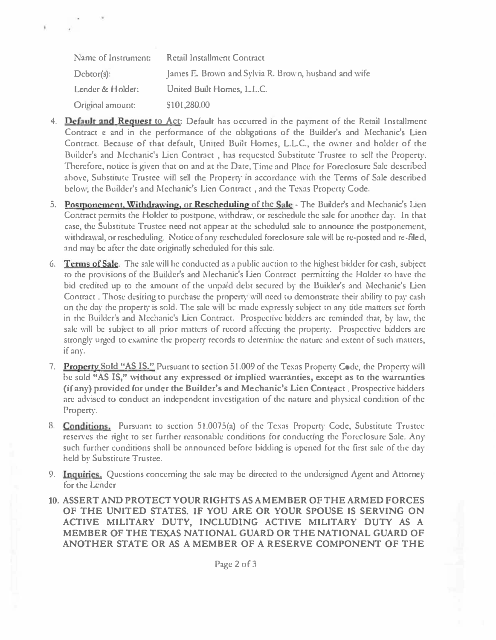| Name of Instrument: | Retail Installment Contract                          |
|---------------------|------------------------------------------------------|
| $Debtor(s)$ :       | James E. Brown and Sylvia R. Brown, husband and wife |
| Lender & Holder:    | United Built Homes, L.L.C.                           |
| Original amount:    | \$101,280.00                                         |

¥,

- 4. Default and Request to Act: Default has occurred in the payment of the Retail Installment Contract e and in the performance of the obligations of the Builder's and Mechanic's Lien Contract. Because of that default, United Built Homes, L.L.C., the owner and holder of the Builder's and Mechanic's Lien Contract, has requested Substitute Trustee to sell the Property. 'Therefore, notice 1s given that on and at the Dare, Time and Place for Foreclosure Sale described above, Substitute Trustee will sell the Property in accordance with the Terms of Sale described below, the Builder's and Mechanic's Lien Contract , and the Texas Property Code.
- 5. Postponement, Withdrawing, or Rescheduling of the Sale The Builder's and Mechanic's Lien Contract pcrmjts the Holder to postpone, withdraw, or reschedule the sale for another day. In that case, the Substitute Trustee need nor appear at the scheduled sale to announce the postponement, withdrawal, or rescheduling. Notice of any rescheduled foreclosure sale will be re-posted and re-filed, and may be after the date originally scheduled for this sale.
- 6. Terms of Sale. The sale will be conducted as a public auction to the highest bidder for cash, subject to the provisions of the Builder's and Mechanic's Lien Contract permitting the Holder to have the bid credned up ro the amount of the unpaid debt secured br the Builder's and Mechanic's Uen Contract . Those desiring to purchase the property will need to demonstrate their ability to pay cash on the day the property is sold. The sale will be made expressly subject to any title matters set forth in the Builder's and Mechanic's Lien Contract. Prospective bidders are reminded that, by law, the sale will be subject to all prior matters of record affecting the property. Prospective bidders are strongly urged to examine the property records to determine the nature and extent of such matters, if anr.
- 7. Property Sold "AS IS." Pursuant to section 51.009 of the Texas Property Code, the Property will be sold "AS IS," without any expressed or implied warranties, except as to the warranties (if any) provided for under the Builder's and Mechanic's Lien Contract. Prospective bidders are advised to conduct an independent investigation of the nature and physical condition of the Property.
- 8. **Conditions.** Pursuant to section 51.0075(a) of the Texas Property Code, Substitute Trustee reserves the right to set further reasonable conditions for conducting the Foreclosure Sale. Any such further conditions shall be announced before bidding is opened for the first sale of the day held br Substitute Trustee.
- 9. Inquiries. Questions concerning the sale may be directed to the undersigned Agent and Attorney for the Lender
- 10. ASSERT AND PROTECTYOUR RIGHTS AS AMEMBER OFTHE ARMEDFORCES OF THE UNITED STATES. IF YOU ARE OR YOUR SPOUSE IS SERVING ON ACTIVE MILITARY DUTY, INCLUDING ACTIVE MILITARY DUTY AS A MEMBER OF THE TEXAS NATIONAL GUARD OR THE NATIONAL GUARD OF ANOTHER STATE OR AS A MEMBER OF A RESERVE COMPONENT OF THE